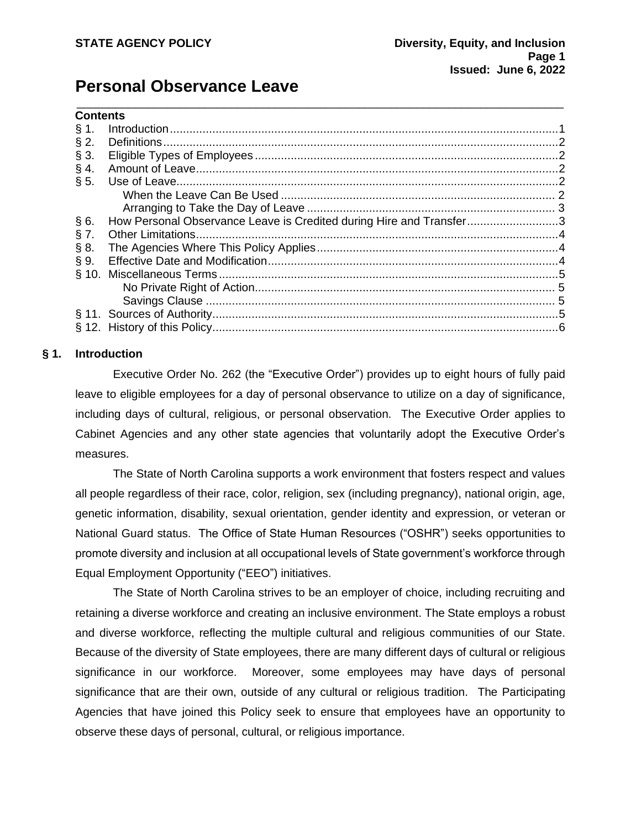# **Personal Observance Leave**

| <b>Contents</b> |  |
|-----------------|--|
|-----------------|--|

| § 1.    |                                                                     |  |
|---------|---------------------------------------------------------------------|--|
| $\S 2.$ |                                                                     |  |
| $\S 3.$ |                                                                     |  |
| $§$ 4.  |                                                                     |  |
| § 5.    |                                                                     |  |
|         |                                                                     |  |
|         |                                                                     |  |
| §6.     | How Personal Observance Leave is Credited during Hire and Transfer3 |  |
| § 7.    |                                                                     |  |
| § 8.    |                                                                     |  |
| $\S 9.$ |                                                                     |  |
|         |                                                                     |  |
|         |                                                                     |  |
|         |                                                                     |  |
|         |                                                                     |  |
|         |                                                                     |  |
|         |                                                                     |  |

\_\_\_\_\_\_\_\_\_\_\_\_\_\_\_\_\_\_\_\_\_\_\_\_\_\_\_\_\_\_\_\_\_\_\_\_\_\_\_\_\_\_\_\_\_\_\_\_\_\_\_\_\_\_\_\_\_\_\_\_\_\_\_\_\_\_\_\_\_\_\_\_\_\_\_\_

#### **§ 1. Introduction**

<span id="page-0-0"></span>Executive Order No. 262 (the "Executive Order") provides up to eight hours of fully paid leave to eligible employees for a day of personal observance to utilize on a day of significance, including days of cultural, religious, or personal observation. The Executive Order applies to Cabinet Agencies and any other state agencies that voluntarily adopt the Executive Order's measures.

The State of North Carolina supports a work environment that fosters respect and values all people regardless of their race, color, religion, sex (including pregnancy), national origin, age, genetic information, disability, sexual orientation, gender identity and expression, or veteran or National Guard status. The Office of State Human Resources ("OSHR") seeks opportunities to promote diversity and inclusion at all occupational levels of State government's workforce through Equal Employment Opportunity ("EEO") initiatives.

The State of North Carolina strives to be an employer of choice, including recruiting and retaining a diverse workforce and creating an inclusive environment. The State employs a robust and diverse workforce, reflecting the multiple cultural and religious communities of our State. Because of the diversity of State employees, there are many different days of cultural or religious significance in our workforce. Moreover, some employees may have days of personal significance that are their own, outside of any cultural or religious tradition. The Participating Agencies that have joined this Policy seek to ensure that employees have an opportunity to observe these days of personal, cultural, or religious importance.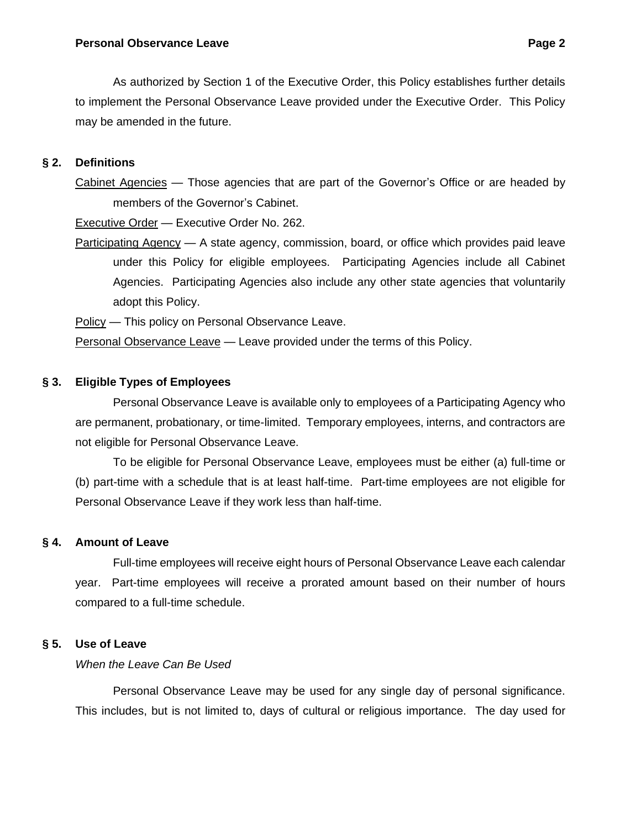As authorized by Section 1 of the Executive Order, this Policy establishes further details to implement the Personal Observance Leave provided under the Executive Order. This Policy may be amended in the future.

# **§ 2. Definitions**

<span id="page-1-0"></span>Cabinet Agencies — Those agencies that are part of the Governor's Office or are headed by members of the Governor's Cabinet.

Executive Order — Executive Order No. 262.

Participating Agency — A state agency, commission, board, or office which provides paid leave under this Policy for eligible employees. Participating Agencies include all Cabinet Agencies. Participating Agencies also include any other state agencies that voluntarily adopt this Policy.

Policy - This policy on Personal Observance Leave.

Personal Observance Leave — Leave provided under the terms of this Policy.

## **§ 3. Eligible Types of Employees**

<span id="page-1-1"></span>Personal Observance Leave is available only to employees of a Participating Agency who are permanent, probationary, or time-limited. Temporary employees, interns, and contractors are not eligible for Personal Observance Leave.

To be eligible for Personal Observance Leave, employees must be either (a) full-time or (b) part-time with a schedule that is at least half-time. Part-time employees are not eligible for Personal Observance Leave if they work less than half-time.

### **§ 4. Amount of Leave**

<span id="page-1-2"></span>Full-time employees will receive eight hours of Personal Observance Leave each calendar year. Part-time employees will receive a prorated amount based on their number of hours compared to a full-time schedule.

### **§ 5. Use of Leave**

# <span id="page-1-4"></span><span id="page-1-3"></span>*When the Leave Can Be Used*

Personal Observance Leave may be used for any single day of personal significance. This includes, but is not limited to, days of cultural or religious importance. The day used for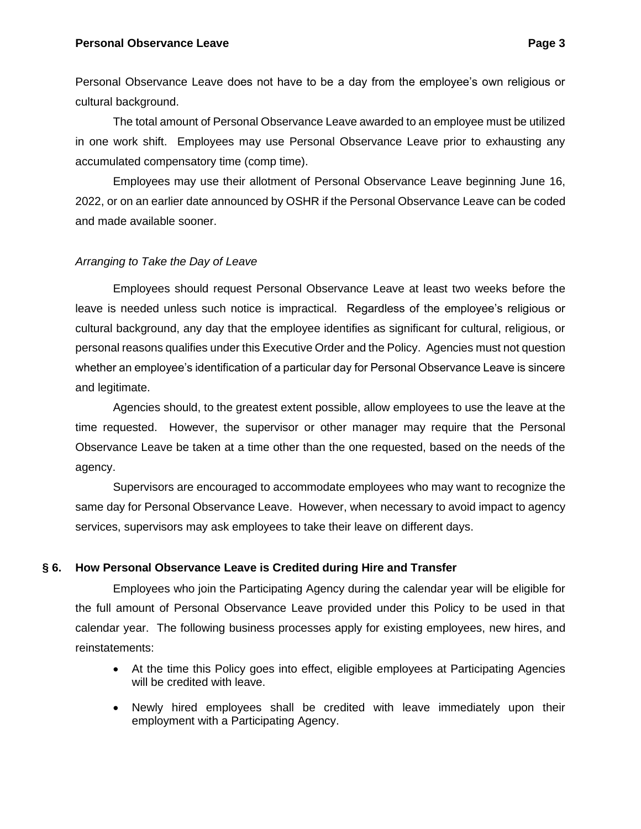#### **Personal Observance Leave Page 3**

Personal Observance Leave does not have to be a day from the employee's own religious or cultural background.

The total amount of Personal Observance Leave awarded to an employee must be utilized in one work shift. Employees may use Personal Observance Leave prior to exhausting any accumulated compensatory time (comp time).

Employees may use their allotment of Personal Observance Leave beginning June 16, 2022, or on an earlier date announced by OSHR if the Personal Observance Leave can be coded and made available sooner.

### <span id="page-2-0"></span>*Arranging to Take the Day of Leave*

Employees should request Personal Observance Leave at least two weeks before the leave is needed unless such notice is impractical. Regardless of the employee's religious or cultural background, any day that the employee identifies as significant for cultural, religious, or personal reasons qualifies under this Executive Order and the Policy. Agencies must not question whether an employee's identification of a particular day for Personal Observance Leave is sincere and legitimate.

Agencies should, to the greatest extent possible, allow employees to use the leave at the time requested. However, the supervisor or other manager may require that the Personal Observance Leave be taken at a time other than the one requested, based on the needs of the agency.

Supervisors are encouraged to accommodate employees who may want to recognize the same day for Personal Observance Leave. However, when necessary to avoid impact to agency services, supervisors may ask employees to take their leave on different days.

### **§ 6. How Personal Observance Leave is Credited during Hire and Transfer**

<span id="page-2-1"></span>Employees who join the Participating Agency during the calendar year will be eligible for the full amount of Personal Observance Leave provided under this Policy to be used in that calendar year. The following business processes apply for existing employees, new hires, and reinstatements:

- At the time this Policy goes into effect, eligible employees at Participating Agencies will be credited with leave.
- Newly hired employees shall be credited with leave immediately upon their employment with a Participating Agency.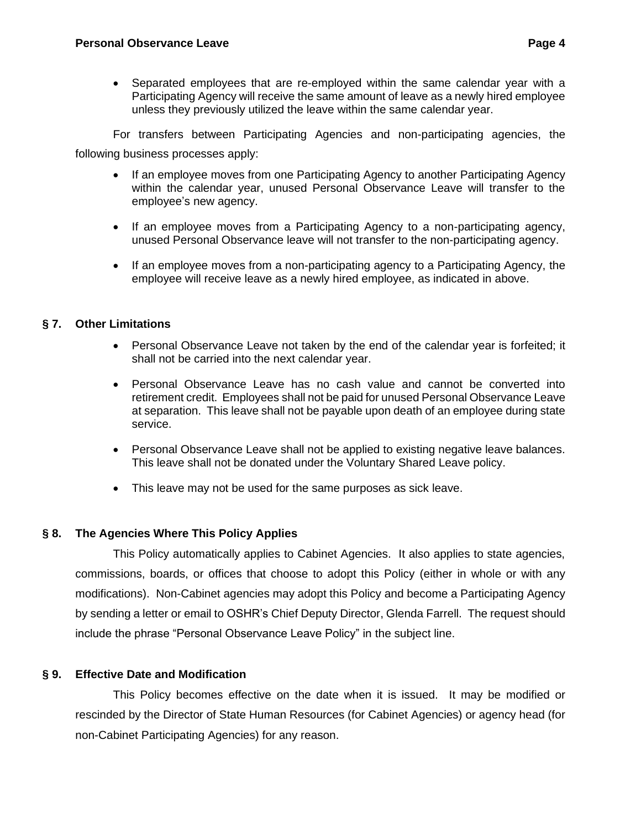• Separated employees that are re-employed within the same calendar year with a Participating Agency will receive the same amount of leave as a newly hired employee unless they previously utilized the leave within the same calendar year.

For transfers between Participating Agencies and non-participating agencies, the following business processes apply:

- If an employee moves from one Participating Agency to another Participating Agency within the calendar year, unused Personal Observance Leave will transfer to the employee's new agency.
- If an employee moves from a Participating Agency to a non-participating agency, unused Personal Observance leave will not transfer to the non-participating agency.
- If an employee moves from a non-participating agency to a Participating Agency, the employee will receive leave as a newly hired employee, as indicated in above.

## <span id="page-3-0"></span>**§ 7. Other Limitations**

- Personal Observance Leave not taken by the end of the calendar year is forfeited; it shall not be carried into the next calendar year.
- Personal Observance Leave has no cash value and cannot be converted into retirement credit. Employees shall not be paid for unused Personal Observance Leave at separation. This leave shall not be payable upon death of an employee during state service.
- Personal Observance Leave shall not be applied to existing negative leave balances. This leave shall not be donated under the Voluntary Shared Leave policy.
- This leave may not be used for the same purposes as sick leave.

### **§ 8. The Agencies Where This Policy Applies**

<span id="page-3-1"></span>This Policy automatically applies to Cabinet Agencies. It also applies to state agencies, commissions, boards, or offices that choose to adopt this Policy (either in whole or with any modifications). Non-Cabinet agencies may adopt this Policy and become a Participating Agency by sending a letter or email to OSHR's Chief Deputy Director, Glenda Farrell. The request should include the phrase "Personal Observance Leave Policy" in the subject line.

# **§ 9. Effective Date and Modification**

<span id="page-3-2"></span>This Policy becomes effective on the date when it is issued. It may be modified or rescinded by the Director of State Human Resources (for Cabinet Agencies) or agency head (for non-Cabinet Participating Agencies) for any reason.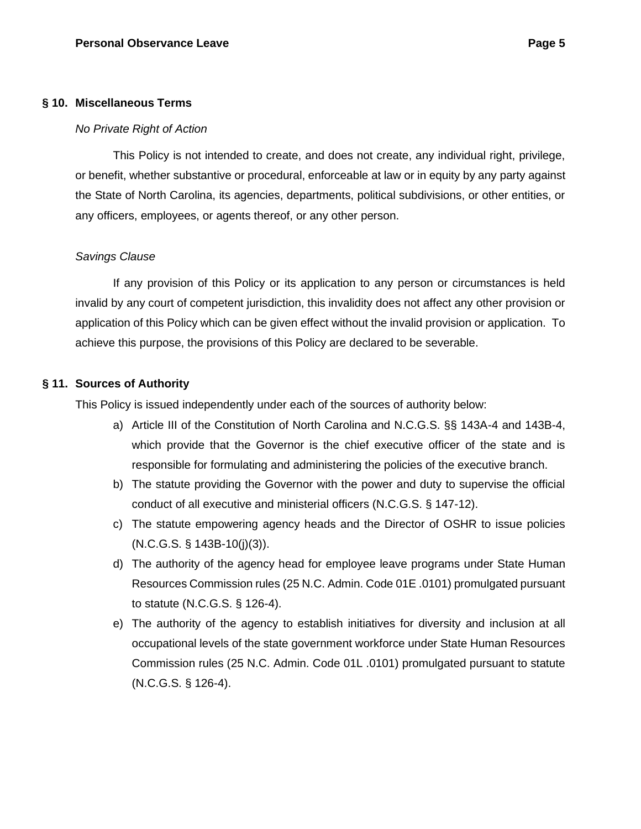#### **§ 10. Miscellaneous Terms**

#### <span id="page-4-1"></span><span id="page-4-0"></span>*No Private Right of Action*

This Policy is not intended to create, and does not create, any individual right, privilege, or benefit, whether substantive or procedural, enforceable at law or in equity by any party against the State of North Carolina, its agencies, departments, political subdivisions, or other entities, or any officers, employees, or agents thereof, or any other person.

#### <span id="page-4-2"></span>*Savings Clause*

If any provision of this Policy or its application to any person or circumstances is held invalid by any court of competent jurisdiction, this invalidity does not affect any other provision or application of this Policy which can be given effect without the invalid provision or application. To achieve this purpose, the provisions of this Policy are declared to be severable.

#### **§ 11. Sources of Authority**

<span id="page-4-3"></span>This Policy is issued independently under each of the sources of authority below:

- a) Article III of the Constitution of North Carolina and N.C.G.S. §§ 143A-4 and 143B-4, which provide that the Governor is the chief executive officer of the state and is responsible for formulating and administering the policies of the executive branch.
- b) The statute providing the Governor with the power and duty to supervise the official conduct of all executive and ministerial officers (N.C.G.S. § 147-12).
- c) The statute empowering agency heads and the Director of OSHR to issue policies (N.C.G.S. § 143B-10(j)(3)).
- d) The authority of the agency head for employee leave programs under State Human Resources Commission rules (25 N.C. Admin. Code 01E .0101) promulgated pursuant to statute (N.C.G.S. § 126-4).
- e) The authority of the agency to establish initiatives for diversity and inclusion at all occupational levels of the state government workforce under State Human Resources Commission rules (25 N.C. Admin. Code 01L .0101) promulgated pursuant to statute (N.C.G.S. § 126-4).